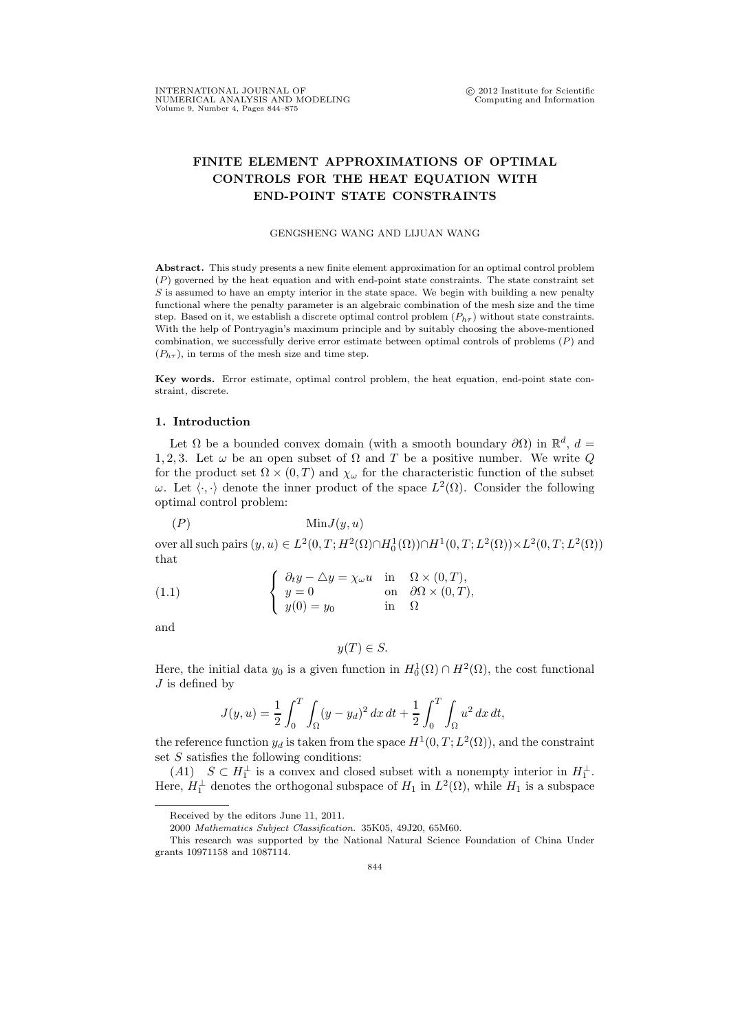## FINITE ELEMENT APPROXIMATIONS OF OPTIMAL CONTROLS FOR THE HEAT EQUATION WITH END-POINT STATE CONSTRAINTS

## GENGSHENG WANG AND LIJUAN WANG

Abstract. This study presents a new finite element approximation for an optimal control problem (P) governed by the heat equation and with end-point state constraints. The state constraint set  $S$  is assumed to have an empty interior in the state space. We begin with building a new penalty functional where the penalty parameter is an algebraic combination of the mesh size and the time step. Based on it, we establish a discrete optimal control problem  $(P_{h\tau})$  without state constraints. With the help of Pontryagin's maximum principle and by suitably choosing the above-mentioned combination, we successfully derive error estimate between optimal controls of problems  $(P)$  and  $(P_{h\tau})$ , in terms of the mesh size and time step.

Key words. Error estimate, optimal control problem, the heat equation, end-point state constraint, discrete.

## 1. Introduction

Let  $\Omega$  be a bounded convex domain (with a smooth boundary  $\partial\Omega$ ) in  $\mathbb{R}^d$ ,  $d =$ 1, 2, 3. Let  $\omega$  be an open subset of  $\Omega$  and  $T$  be a positive number. We write  $Q$ for the product set  $\Omega \times (0,T)$  and  $\chi_{\omega}$  for the characteristic function of the subset  $ω$ . Let  $\langle \cdot, \cdot \rangle$  denote the inner product of the space  $L^2(\Omega)$ . Consider the following optimal control problem:

(P) MinJ(y, u)

over all such pairs  $(y, u) \in L^2(0, T; H^2(\Omega) \cap H_0^1(\Omega)) \cap H^1(0, T; L^2(\Omega)) \times L^2(0, T; L^2(\Omega))$ that

(1.1) 
$$
\begin{cases} \n\frac{\partial_t y - \triangle y = \chi_\omega u}{y = 0} & \text{in } \Omega \times (0, T), \\ \ny = 0 & \text{on } \partial \Omega \times (0, T), \\ \ny(0) = y_0 & \text{in } \Omega \n\end{cases}
$$

and

 $y(T) \in S$ .

Here, the initial data  $y_0$  is a given function in  $H_0^1(\Omega) \cap H^2(\Omega)$ , the cost functional  $J$  is defined by

$$
J(y, u) = \frac{1}{2} \int_0^T \int_{\Omega} (y - y_d)^2 dx dt + \frac{1}{2} \int_0^T \int_{\Omega} u^2 dx dt,
$$

the reference function  $y_d$  is taken from the space  $H^1(0,T;L^2(\Omega))$ , and the constraint set  $S$  satisfies the following conditions:

 $(A1)$   $S \subset H_1^{\perp}$  is a convex and closed subset with a nonempty interior in  $H_1^{\perp}$ . Here,  $H_1^{\perp}$  denotes the orthogonal subspace of  $H_1$  in  $L^2(\Omega)$ , while  $H_1$  is a subspace

Received by the editors June 11, 2011.

<sup>2000</sup> Mathematics Subject Classification. 35K05, 49J20, 65M60.

This research was supported by the National Natural Science Foundation of China Under grants 10971158 and 1087114.